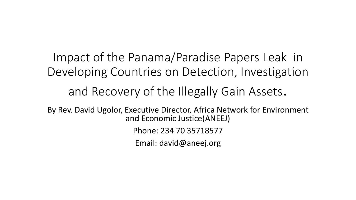Impact of the Panama/Paradise Papers Leak in Developing Countries on Detection, Investigation and Recovery of the Illegally Gain Assets. By Rev. David Ugolor, Executive Director, Africa Network for Environment and Economic Justice(ANEEJ) Phone: 234 70 35718577 Email: david@aneej.org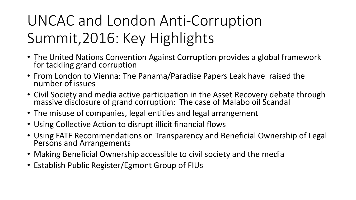## UNCAC and London Anti-Corruption Summit,2016: Key Highlights

- The United Nations Convention Against Corruption provides a global framework for tackling grand corruption
- From London to Vienna: The Panama/Paradise Papers Leak have raised the number of issues
- Civil Society and media active participation in the Asset Recovery debate through massive disclosure of grand corruption: The case of Malabo oil Scandal
- The misuse of companies, legal entities and legal arrangement
- Using Collective Action to disrupt illicit financial flows
- Using FATF Recommendations on Transparency and Beneficial Ownership of Legal Persons and Arrangements
- Making Beneficial Ownership accessible to civil society and the media
- Establish Public Register/Egmont Group of FIUs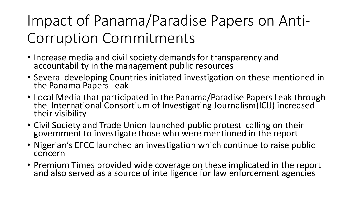## Impact of Panama/Paradise Papers on Anti-Corruption Commitments

- Increase media and civil society demands for transparency and accountability in the management public resources
- Several developing Countries initiated investigation on these mentioned in the Panama Papers Leak
- Local Media that participated in the Panama/Paradise Papers Leak through the International Consortium of Investigating Journalism(ICIJ) increased their visibility
- Civil Society and Trade Union launched public protest calling on their government to investigate those who were mentioned in the report
- Nigerian's EFCC launched an investigation which continue to raise public concern
- Premium Times provided wide coverage on these implicated in the report and also served as a source of intelligence for law enforcement agencies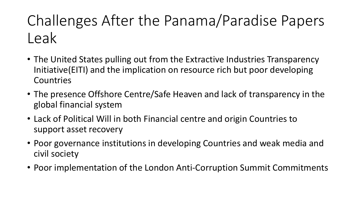## Challenges After the Panama/Paradise Papers Leak

- The United States pulling out from the Extractive Industries Transparency Initiative(EITI) and the implication on resource rich but poor developing Countries
- The presence Offshore Centre/Safe Heaven and lack of transparency in the global financial system
- Lack of Political Will in both Financial centre and origin Countries to support asset recovery
- Poor governance institutions in developing Countries and weak media and civil society
- Poor implementation of the London Anti-Corruption Summit Commitments